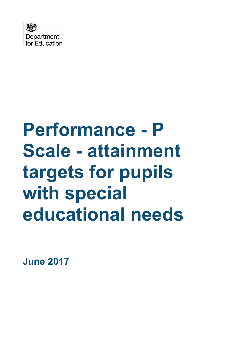

# **Performance - P Scale - attainment targets for pupils with special educational needs**

<span id="page-0-0"></span>**June 2017**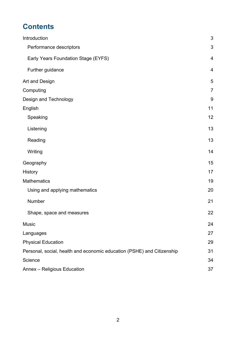# **Contents**

| Introduction                                                           | $\mathsf 3$    |
|------------------------------------------------------------------------|----------------|
| Performance descriptors                                                | 3              |
| Early Years Foundation Stage (EYFS)                                    | 4              |
| Further guidance                                                       | $\overline{4}$ |
| Art and Design                                                         | 5              |
| Computing                                                              | $\overline{7}$ |
| Design and Technology                                                  | 9              |
| English                                                                | 11             |
| Speaking                                                               | 12             |
| Listening                                                              | 13             |
| Reading                                                                | 13             |
| Writing                                                                | 14             |
| Geography                                                              | 15             |
| History                                                                | 17             |
| <b>Mathematics</b>                                                     | 19             |
| Using and applying mathematics                                         | 20             |
| Number                                                                 | 21             |
| Shape, space and measures                                              | 22             |
| <b>Music</b>                                                           | 24             |
| Languages                                                              | 27             |
| <b>Physical Education</b>                                              | 29             |
| Personal, social, health and economic education (PSHE) and Citizenship | 31             |
| Science                                                                | 34             |
| Annex - Religious Education                                            | 37             |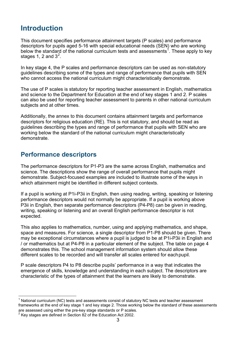#### <span id="page-2-0"></span>**Introduction**

This document specifies performance attainment targets (P scales) and performance descriptors for pupils aged 5-16 with special educational needs (SEN) who are working below the standard of the national curriculum tests and assessments<sup>[1](#page-0-0)</sup>. These apply to key stages 1, [2](#page-2-2) and  $3^2$ .

In key stage 4, the P scales and performance descriptors can be used as non-statutory guidelines describing some of the types and range of performance that pupils with SEN who cannot access the national curriculum might characteristically demonstrate.

The use of P scales is statutory for reporting teacher assessment in English, mathematics and science to the Department for Education at the end of key stages 1 and 2. P scales can also be used for reporting teacher assessment to parents in other national curriculum subjects and at other times.

Additionally, the annex to this document contains attainment targets and performance descriptors for religious education (RE). This is not statutory, and should be read as guidelines describing the types and range of performance that pupils with SEN who are working below the standard of the national curriculum might characteristically demonstrate.

#### <span id="page-2-1"></span>**Performance descriptors**

The performance descriptors for P1-P3 are the same across English, mathematics and science. The descriptions show the range of overall performance that pupils might demonstrate. Subject-focused examples are included to illustrate some of the ways in which attainment might be identified in different subject contexts.

If a pupil is working at P1i-P3ii in English, then using reading, writing, speaking or listening performance descriptors would not normally be appropriate. If a pupil is working above P3ii in English, then separate performance descriptors (P4-P8) can be given in reading, writing, speaking or listening and an overall English performance descriptor is not expected.

This also applies to mathematics, number, using and applying mathematics, and shape, space and measures. For science, a single descriptor from P1-P8 should be given. There may be exceptional circumstances where a pupil is judged to be at P1i-P3ii in English and / or mathematics but at P4-P8 in a particular element of the subject. The table on page 4 demonstrates this. The school management information system should allow these different scales to be recorded and will transfer all scales entered for eachpupil.

P scale descriptors P4 to P8 describe pupils' performance in a way that indicates the emergence of skills, knowledge and understanding in each subject. The descriptors are characteristic of the types of attainment that the learners are likely to demonstrate.

 $<sup>1</sup>$  National curriculum (NC) tests and assessments consist of statutory NC tests and teacher assessment</sup> frameworks at the end of key stage 1 and key stage 2. Those working below the standard of these assessments are assessed using either the pre-key stage standards or P scales.<br><sup>2</sup> Key stages are defined in Section 82 of the Education Act 2002.

<span id="page-2-3"></span><span id="page-2-2"></span>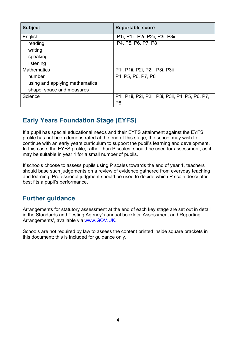| <b>Subject</b>                 | <b>Reportable score</b>                          |
|--------------------------------|--------------------------------------------------|
| English                        | P1i, P1ii, P2i, P2ii, P3i, P3ii                  |
| reading                        | P4, P5, P6, P7, P8                               |
| writing                        |                                                  |
| speaking                       |                                                  |
| listening                      |                                                  |
| <b>Mathematics</b>             | P1i, P1ii, P2i, P2ii, P3i, P3ii                  |
| number                         | P4, P5, P6, P7, P8                               |
| using and applying mathematics |                                                  |
| shape, space and measures      |                                                  |
| Science                        | P1i, P1ii, P2i, P2ii, P3i, P3ii, P4, P5, P6, P7, |
|                                | P <sub>8</sub>                                   |

#### <span id="page-3-0"></span>**Early Years Foundation Stage (EYFS)**

If a pupil has special educational needs and their EYFS attainment against the EYFS profile has not been demonstrated at the end of this stage, the school may wish to continue with an early years curriculum to support the pupil's learning and development. In this case, the EYFS profile, rather than P scales, should be used for assessment, as it may be suitable in year 1 for a small number of pupils.

If schools choose to assess pupils using P scales towards the end of year 1, teachers should base such judgements on a review of evidence gathered from everyday teaching and learning. Professional judgment should be used to decide which P scale descriptor best fits a pupil's performance.

#### <span id="page-3-1"></span>**Further guidance**

Arrangements for statutory assessment at the end of each key stage are set out in detail in the Standards and Testing Agency's annual booklets 'Assessment and Reporting Arrangements', available via [www.GOV.UK.](http://www.gov.uk/)

Schools are not required by law to assess the content printed inside square brackets in this document; this is included for guidance only.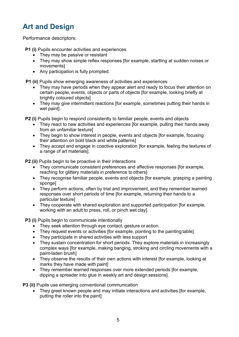# <span id="page-4-0"></span>**Art and Design**

Performance descriptors:

**P1 (i)** Pupils encounter activities and experiences

- They may be passive or resistant
- They may show simple reflex responses [for example, startling at sudden noises or movements]
- Any participation is fully prompted.

**P1 (ii)** Pupils show emerging awareness of activities and experiences

- They may have periods when they appear alert and ready to focus their attention on certain people, events, objects or parts of objects [for example, looking briefly at brightly coloured objects]
- They may give intermittent reactions [for example, sometimes putting their hands in wet paint].

**P2 (i)** Pupils begin to respond consistently to familiar people, events and objects

- They react to new activities and experiences [for example, pulling their hands away from an unfamiliar texture]
- They begin to show interest in people, events and objects [for example, focusing their attention on bold black and white patterns]
- They accept and engage in coactive exploration [for example, feeling the textures of a range of art materials].

**P2 (ii)** Pupils begin to be proactive in their interactions

- They communicate consistent preferences and affective responses [for example, reaching for glittery materials in preference to others]
- They recognise familiar people, events and objects [for example, grasping a painting sponge]
- They perform actions, often by trial and improvement, and they remember learned responses over short periods of time [for example, returning their hands to a particular texture]
- They cooperate with shared exploration and supported participation [for example, working with an adult to press, roll, or pinch wet clay].

**P3 (i)** Pupils begin to communicate intentionally

- They seek attention through eye contact, gesture or action.
- They request events or activities [for example, pointing to the painting table]
- They participate in shared activities with less support
- They sustain concentration for short periods. They explore materials in increasingly complex ways [for example, making banging, stroking and circling movements with a paint-laden brush]
- They observe the results of their own actions with interest [for example, looking at marks they have made with paint]
- They remember learned responses over more extended periods [for example, dipping a spreader into glue in weekly art and design sessions].

**P3 (ii)** Pupils use emerging conventional communication

• They greet known people and may initiate interactions and activities [for example, putting the roller into the paint]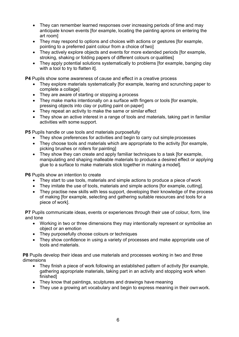- They can remember learned responses over increasing periods of time and may anticipate known events [for example, locating the painting aprons on entering the art room]
- They may respond to options and choices with actions or gestures [for example, pointing to a preferred paint colour from a choice of two]
- They actively explore objects and events for more extended periods [for example, stroking, shaking or folding papers of different colours or qualities]
- They apply potential solutions systematically to problems [for example, banging clay with a tool to try to flatten it].

**P4** Pupils show some awareness of cause and effect in a creative process

- They explore materials systematically fror example, tearing and scrunching paper to complete a collage]
- They are aware of starting or stopping a process
- They make marks intentionally on a surface with fingers or tools [for example, pressing objects into clay or putting paint on paper]
- They repeat an activity to make the same or similar effect
- They show an active interest in a range of tools and materials, taking part in familiar activities with some support.

**P5** Pupils handle or use tools and materials purposefully

- They show preferences for activities and begin to carry out simple processes
- They choose tools and materials which are appropriate to the activity [for example, picking brushes or rollers for painting]
- They show they can create and apply familiar techniques to a task [for example, manipulating and shaping malleable materials to produce a desired effect or applying glue to a surface to make materials stick together in making a model].

**P6** Pupils show an intention to create

- They start to use tools, materials and simple actions to produce a piece of work
- They imitate the use of tools, materials and simple actions [for example, cutting].
- They practise new skills with less support, developing their knowledge of the process of making [for example, selecting and gathering suitable resources and tools for a piece of work].

**P7** Pupils communicate ideas, events or experiences through their use of colour, form, line and tone

- Working in two or three dimensions they may intentionally represent or symbolise an object or an emotion
- They purposefully choose colours or techniques
- They show confidence in using a variety of processes and make appropriate use of tools and materials.

**P8** Pupils develop their ideas and use materials and processes working in two and three dimensions

- They finish a piece of work following an established pattern of activity [for example, gathering appropriate materials, taking part in an activity and stopping work when finished]
- They know that paintings, sculptures and drawings have meaning
- They use a growing art vocabulary and begin to express meaning in their ownwork.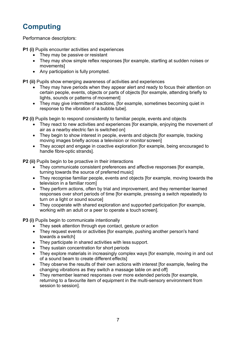# <span id="page-6-0"></span>**Computing**

Performance descriptors:

**P1 (i)** Pupils encounter activities and experiences

- They may be passive or resistant
- They may show simple reflex responses [for example, startling at sudden noises or movements]
- Any participation is fully prompted.

**P1 (ii)** Pupils show emerging awareness of activities and experiences

- They may have periods when they appear alert and ready to focus their attention on certain people, events, objects or parts of objects [for example, attending briefly to lights, sounds or patterns of movement]
- They may give intermittent reactions, [for example, sometimes becoming quiet in response to the vibration of a bubble tube].

**P2 (i)** Pupils begin to respond consistently to familiar people, events and objects

- They react to new activities and experiences [for example, enjoying the movement of air as a nearby electric fan is switched on]
- They begin to show interest in people, events and objects [for example, tracking] moving images briefly across a television or monitor screen]
- They accept and engage in coactive exploration [for example, being encouraged to handle fibre-optic strands].

**P2 (ii)** Pupils begin to be proactive in their interactions

- They communicate consistent preferences and affective responses [for example, turning towards the source of preferred music]
- They recognise familiar people, events and objects [for example, moving towards the television in a familiar room]
- They perform actions, often by trial and improvement, and they remember learned responses over short periods of time [for example, pressing a switch repeatedly to turn on a light or sound source]
- They cooperate with shared exploration and supported participation [for example, working with an adult or a peer to operate a touch screen].

**P3 (i)** Pupils begin to communicate intentionally

- They seek attention through eye contact, gesture or action
- They request events or activities [for example, pushing another person's hand towards a switch]
- They participate in shared activities with less support.
- They sustain concentration for short periods
- They explore materials in increasingly complex ways [for example, moving in and out of a sound beam to create different effects]
- They observe the results of their own actions with interest [for example, feeling the changing vibrations as they switch a massage table on and off]
- They remember learned responses over more extended periods [for example, returning to a favourite item of equipment in the multi-sensory environment from session to session].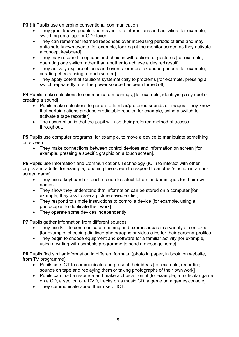**P3 (ii)** Pupils use emerging conventional communication

- They greet known people and may initiate interactions and activities [for example, switching on a tape or CD player]
- They can remember learned responses over increasing periods of time and may anticipate known events [for example, looking at the monitor screen as they activate a concept keyboard]
- They may respond to options and choices with actions or gestures [for example, operating one switch rather than another to achieve a desired result]
- They actively explore objects and events for more extended periods [for example, creating effects using a touch screen]
- They apply potential solutions systematically to problems [for example, pressing a switch repeatedly after the power source has been turned off].

**P4** Pupils make selections to communicate meanings, [for example, identifying a symbol or creating a sound]

- Pupils make selections to generate familiar/preferred sounds or images. They know that certain actions produce predictable results [for example, using a switch to activate a tape recorder]
- The assumption is that the pupil will use their preferred method of access throughout.

**P5** Pupils use computer programs, for example, to move a device to manipulate something on screen

• They make connections between control devices and information on screen [for example, pressing a specific graphic on a touch screen].

**P6** Pupils use Information and Communications Technology (ICT) to interact with other pupils and adults [for example, touching the screen to respond to another's action in an onscreen game].

- They use a keyboard or touch screen to select letters and/or images for their own names
- They show they understand that information can be stored on a computer [for example, they ask to see a picture saved earlier]
- They respond to simple instructions to control a device [for example, using a photocopier to duplicate their work]
- They operate some devices independently.

**P7** Pupils gather information from different sources

- They use ICT to communicate meaning and express ideas in a variety of contexts [for example, choosing digitised photographs or video clips for their personal profiles]
- They begin to choose equipment and software for a familiar activity [for example, using a writing-with-symbols programme to send a message home].

**P8** Pupils find similar information in different formats, (photo in paper, in book, on website, from TV programme)

- Pupils use ICT to communicate and present their ideas [for example, recording sounds on tape and replaying them or taking photographs of their own work]
- Pupils can load a resource and make a choice from it [for example, a particular game on a CD, a section of a DVD, tracks on a music CD, a game on a games console]
- They communicate about their use of ICT.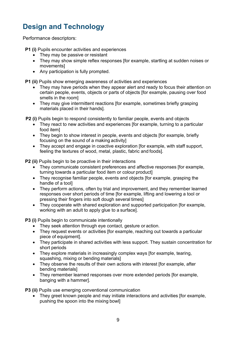# <span id="page-8-0"></span>**Design and Technology**

Performance descriptors:

**P1 (i)** Pupils encounter activities and experiences

- They may be passive or resistant
- They may show simple reflex responses [for example, startling at sudden noises or movements]
- Any participation is fully prompted.

**P1 (ii)** Pupils show emerging awareness of activities and experiences

- They may have periods when they appear alert and ready to focus their attention on certain people, events, objects or parts of objects [for example, pausing over food smells in the room]
- They may give intermittent reactions [for example, sometimes briefly grasping materials placed in their hands].

**P2 (i)** Pupils begin to respond consistently to familiar people, events and objects

- They react to new activities and experiences [for example, turning to a particular food item]
- They begin to show interest in people, events and objects [for example, briefly focusing on the sound of a making activity]
- They accept and engage in coactive exploration [for example, with staff support, feeling the textures of wood, metal, plastic, fabric and foods].

**P2 (ii)** Pupils begin to be proactive in their interactions

- They communicate consistent preferences and affective responses [for example, turning towards a particular food item or colour product]
- They recognise familiar people, events and objects [for example, grasping the handle of a tool]
- They perform actions, often by trial and improvement, and they remember learned responses over short periods of time [for example, lifting and lowering a tool or pressing their fingers into soft dough several times]
- They cooperate with shared exploration and supported participation [for example, working with an adult to apply glue to a surface].

**P3 (i)** Pupils begin to communicate intentionally

- They seek attention through eye contact, gesture or action.
- They request events or activities [for example, reaching out towards a particular piece of equipment].
- They participate in shared activities with less support. They sustain concentration for short periods
- They explore materials in increasingly complex ways [for example, tearing, squashing, mixing or bending materials]
- They observe the results of their own actions with interest [for example, after bending materials]
- They remember learned responses over more extended periods [for example, banging with a hammer].

**P3 (ii)** Pupils use emerging conventional communication

• They greet known people and may initiate interactions and activities [for example, pushing the spoon into the mixing bowl]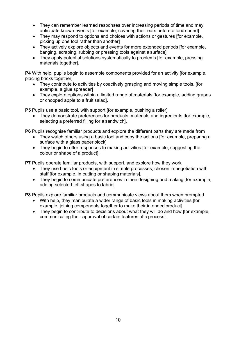- They can remember learned responses over increasing periods of time and may anticipate known events [for example, covering their ears before a loud sound]
- They may respond to options and choices with actions or gestures [for example, picking up one tool rather than another]
- They actively explore objects and events for more extended periods [for example, banging, scraping, rubbing or pressing tools against a surface]
- They apply potential solutions systematically to problems [for example, pressing materials together].

**P4** With help, pupils begin to assemble components provided for an activity [for example, placing bricks together]

- They contribute to activities by coactively grasping and moving simple tools, [for example, a glue spreader]
- They explore options within a limited range of materials [for example, adding grapes or chopped apple to a fruit salad].

**P5** Pupils use a basic tool, with support [for example, pushing a roller]

• They demonstrate preferences for products, materials and ingredients [for example, selecting a preferred filling for a sandwich].

**P6** Pupils recognise familiar products and explore the different parts they are made from

- They watch others using a basic tool and copy the actions [for example, preparing a surface with a glass paper block]
- They begin to offer responses to making activities [for example, suggesting the colour or shape of a product].

**P7** Pupils operate familiar products, with support, and explore how they work

- They use basic tools or equipment in simple processes, chosen in negotiation with staff [for example, in cutting or shaping materials].
- They begin to communicate preferences in their designing and making [for example, adding selected felt shapes to fabric].

**P8** Pupils explore familiar products and communicate views about them when prompted

- With help, they manipulate a wider range of basic tools in making activities [for example, joining components together to make their intended product]
- They begin to contribute to decisions about what they will do and how [for example, communicating their approval of certain features of a process].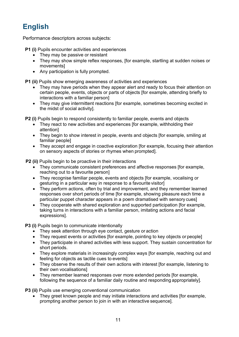# <span id="page-10-0"></span>**English**

Performance descriptors across subjects:

**P1 (i)** Pupils encounter activities and experiences

- They may be passive or resistant
- They may show simple reflex responses, [for example, startling at sudden noises or movements]
- Any participation is fully prompted.

**P1 (ii)** Pupils show emerging awareness of activities and experiences

- They may have periods when they appear alert and ready to focus their attention on certain people, events, objects or parts of objects [for example, attending briefly to interactions with a familiar person]
- They may give intermittent reactions [for example, sometimes becoming excited in the midst of social activity].

**P2 (i)** Pupils begin to respond consistently to familiar people, events and objects

- They react to new activities and experiences [for example, withholding their attention]
- They begin to show interest in people, events and objects [for example, smiling at familiar people]
- They accept and engage in coactive exploration [for example, focusing their attention on sensory aspects of stories or rhymes when prompted].

**P2 (ii)** Pupils begin to be proactive in their interactions

- They communicate consistent preferences and affective responses [for example, reaching out to a favourite person]
- They recognise familiar people, events and objects [for example, vocalising or gesturing in a particular way in response to a favourite visitor]
- They perform actions, often by trial and improvement, and they remember learned responses over short periods of time [for example, showing pleasure each time a particular puppet character appears in a poem dramatised with sensory cues]
- They cooperate with shared exploration and supported participation [for example, taking turns in interactions with a familiar person, imitating actions and facial expressions].

**P3 (i)** Pupils begin to communicate intentionally

- They seek attention through eye contact, gesture or action
- They request events or activities [for example, pointing to key objects or people]
- They participate in shared activities with less support. They sustain concentration for short periods.
- They explore materials in increasingly complex ways [for example, reaching out and feeling for objects as tactile cues to events]
- They observe the results of their own actions with interest [for example, listening to their own vocalisations]
- They remember learned responses over more extended periods [for example, following the sequence of a familiar daily routine and responding appropriately].

**P3 (ii)** Pupils use emerging conventional communication

They greet known people and may initiate interactions and activities [for example, prompting another person to join in with an interactive sequence].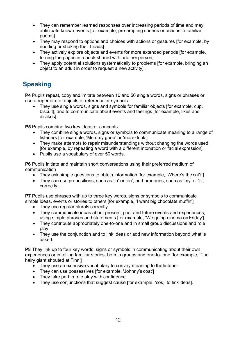- They can remember learned responses over increasing periods of time and may anticipate known events [for example, pre-empting sounds or actions in familiar poems]
- They may respond to options and choices with actions or gestures [for example, by nodding or shaking their heads]
- They actively explore objects and events for more extended periods [for example, turning the pages in a book shared with another person]
- They apply potential solutions systematically to problems [for example, bringing an object to an adult in order to request a new activity].

#### <span id="page-11-0"></span>**Speaking**

**P4** Pupils repeat, copy and imitate between 10 and 50 single words, signs or phrases or use a repertoire of objects of reference or symbols

• They use single words, signs and symbols for familiar objects [for example, cup, biscuit], and to communicate about events and feelings [for example, likes and dislikes].

**P5** Pupils combine two key ideas or concepts

- They combine single words, signs or symbols to communicate meaning to a range of listeners [for example, 'Mummy gone' or 'more drink']
- They make attempts to repair misunderstandings without changing the words used [for example, by repeating a word with a different intonation or facial expression]
- Pupils use a vocabulary of over 50 words.

**P6** Pupils initiate and maintain short conversations using their preferred medium of communication

- They ask simple questions to obtain information [for example, 'Where's the cat?']
- They can use prepositions, such as 'in' or 'on', and pronouns, such as 'my' or 'it', correctly.

**P7** Pupils use phrases with up to three key words, signs or symbols to communicate simple ideas, events or stories to others [for example, 'I want big chocolate muffin']

- They use regular plurals correctly
- They communicate ideas about present, past and future events and experiences, using simple phrases and statements [for example, 'We going cinema on Friday']
- They contribute appropriately one-to-one and in small group discussions and role play
- They use the conjunction and to link ideas or add new information beyond what is asked.

**P8** They link up to four key words, signs or symbols in communicating about their own experiences or in telling familiar stories, both in groups and one-to- one [for example, 'The hairy giant shouted at Finn']

- They use an extensive vocabulary to convey meaning to the listener
- They can use possessives [for example, 'Johnny's coat']
- They take part in role play with confidence
- They use conjunctions that suggest cause [for example, 'cos,' to link ideas].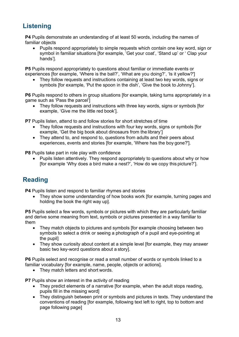#### <span id="page-12-0"></span>**Listening**

**P4** Pupils demonstrate an understanding of at least 50 words, including the names of familiar objects

• Pupils respond appropriately to simple requests which contain one key word, sign or symbol in familiar situations [for example, 'Get your coat', 'Stand up' or ' Clap your hands'].

**P5** Pupils respond appropriately to questions about familiar or immediate events or experiences [for example, 'Where is the ball?', 'What are you doing?', 'Is it yellow?']

• They follow requests and instructions containing at least two key words, signs or symbols [for example, 'Put the spoon in the dish', 'Give the book to Johnny'].

**P6** Pupils respond to others in group situations [for example, taking turns appropriately in a game such as 'Pass the parcel']

• They follow requests and instructions with three key words, signs or symbols [for example, 'Give me the little red book'].

**P7** Pupils listen, attend to and follow stories for short stretches of time

- They follow requests and instructions with four key words, signs or symbols [for example, 'Get the big book about dinosaurs from the library']
- They attend to, and respond to, questions from adults and their peers about experiences, events and stories [for example, 'Where has the boy gone?'].

**P8** Pupils take part in role play with confidence

• Pupils listen attentively. They respond appropriately to questions about why or how [for example 'Why does a bird make a nest?', 'How do we copy this picture?'].

#### <span id="page-12-1"></span>**Reading**

**P4** Pupils listen and respond to familiar rhymes and stories

• They show some understanding of how books work [for example, turning pages and holding the book the right way up].

**P5** Pupils select a few words, symbols or pictures with which they are particularly familiar and derive some meaning from text, symbols or pictures presented in a way familiar to them

- They match objects to pictures and symbols [for example choosing between two symbols to select a drink or seeing a photograph of a pupil and eye-pointing at the pupil]
- They show curiosity about content at a simple level [for example, they may answer basic two key-word questions about a story].

**P6** Pupils select and recognise or read a small number of words or symbols linked to a familiar vocabulary [for example, name, people, objects or actions].

• They match letters and short words.

**P7** Pupils show an interest in the activity of reading

- They predict elements of a narrative [for example, when the adult stops reading, pupils fill in the missing word]
- They distinguish between print or symbols and pictures in texts. They understand the conventions of reading [for example, following text left to right, top to bottom and page following page]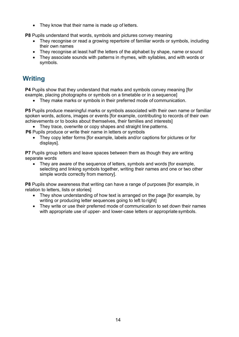• They know that their name is made up of letters.

**P8** Pupils understand that words, symbols and pictures convey meaning

- They recognise or read a growing repertoire of familiar words or symbols, including their own names
- They recognise at least half the letters of the alphabet by shape, name or sound
- They associate sounds with patterns in rhymes, with syllables, and with words or symbols.

#### <span id="page-13-0"></span>**Writing**

**P4** Pupils show that they understand that marks and symbols convey meaning [for example, placing photographs or symbols on a timetable or in a sequence]

• They make marks or symbols in their preferred mode of communication.

**P5** Pupils produce meaningful marks or symbols associated with their own name or familiar spoken words, actions, images or events [for example, contributing to records of their own achievements or to books about themselves, their families and interests]

- They trace, overwrite or copy shapes and straight line patterns.
- **P6** Pupils produce or write their name in letters or symbols
	- They copy letter forms [for example, labels and/or captions for pictures or for displays].

**P7** Pupils group letters and leave spaces between them as though they are writing separate words

• They are aware of the sequence of letters, symbols and words ifor example, selecting and linking symbols together, writing their names and one or two other simple words correctly from memory].

**P8** Pupils show awareness that writing can have a range of purposes [for example, in relation to letters, lists or stories]

- They show understanding of how text is arranged on the page [for example, by writing or producing letter sequences going to left to right]
- They write or use their preferred mode of communication to set down their names with appropriate use of upper- and lower-case letters or appropriate symbols.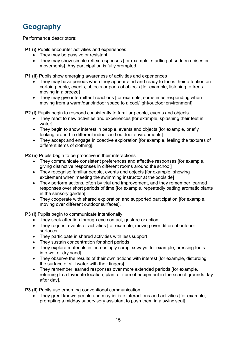## <span id="page-14-0"></span>**Geography**

Performance descriptors:

**P1 (i)** Pupils encounter activities and experiences

- They may be passive or resistant
- They may show simple reflex responses [for example, startling at sudden noises or movements]. Any participation is fully prompted.

**P1 (ii)** Pupils show emerging awareness of activities and experiences

- They may have periods when they appear alert and ready to focus their attention on certain people, events, objects or parts of objects [for example, listening to trees moving in a breeze]
- They may give intermittent reactions [for example, sometimes responding when moving from a warm/dark/indoor space to a cool/light/outdoor environment].

**P2 (i)** Pupils begin to respond consistently to familiar people, events and objects

- They react to new activities and experiences [for example, splashing their feet in waterl
- They begin to show interest in people, events and objects [for example, briefly looking around in different indoor and outdoor environments]
- They accept and engage in coactive exploration [for example, feeling the textures of different items of clothing].

**P2 (ii)** Pupils begin to be proactive in their interactions

- They communicate consistent preferences and affective responses [for example, giving distinctive responses in different rooms around the school]
- They recognise familiar people, events and objects [for example, showing excitement when meeting the swimming instructor at the poolside]
- They perform actions, often by trial and improvement, and they remember learned responses over short periods of time [for example, repeatedly patting aromatic plants in the sensory garden]
- They cooperate with shared exploration and supported participation [for example, moving over different outdoor surfaces].

**P3 (i)** Pupils begin to communicate intentionally

- They seek attention through eye contact, gesture or action.
- They request events or activities [for example, moving over different outdoor surfaces]
- They participate in shared activities with less support
- They sustain concentration for short periods
- They explore materials in increasingly complex ways [for example, pressing tools into wet or dry sand]
- They observe the results of their own actions with interest [for example, disturbing the surface of still water with their fingers]
- They remember learned responses over more extended periods [for example, returning to a favourite location, plant or item of equipment in the school grounds day after day].

**P3 (ii)** Pupils use emerging conventional communication

They greet known people and may initiate interactions and activities [for example, prompting a midday supervisory assistant to push them in a swing seat]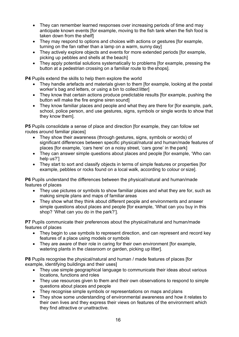- They can remember learned responses over increasing periods of time and may anticipate known events [for example, moving to the fish tank when the fish food is taken down from the shelf]
- They may respond to options and choices with actions or gestures [for example, turning on the fan rather than a lamp on a warm, sunny day]
- They actively explore objects and events for more extended periods [for example, picking up pebbles and shells at the beach]
- They apply potential solutions systematically to problems [for example, pressing the button at a pedestrian crossing on a familiar route to the shops].

**P4** Pupils extend the skills to help them explore the world

- They handle artefacts and materials given to them [for example, looking at the postal worker's bag and letters, or using a bin to collect litter]
- They know that certain actions produce predictable results [for example, pushing the button will make the fire engine siren sound]
- They know familiar places and people and what they are there for [for example, park, school, police person, and use gestures, signs, symbols or single words to show that they know them].

**P5** Pupils consolidate a sense of place and direction [for example, they can follow set routes around familiar places]

- They show their awareness (through gestures, signs, symbols or words) of significant differences between specific physical/natural and human/made features of places [for example, 'cars here' on a noisy street, 'cars gone' in the park]
- They can answer simple questions about places and people [for example, 'Who can help us?']
- They start to sort and classify objects in terms of simple features or properties [for example, pebbles or rocks found on a local walk, according to colour or size].

**P6** Pupils understand the differences between the physical/natural and human/made features of places

- They use pictures or symbols to show familiar places and what they are for, such as making simple plans and maps of familiar areas
- They show what they think about different people and environments and answer simple questions about places and people [for example, 'What can you buy in this shop? 'What can you do in the park?'].

**P7** Pupils communicate their preferences about the physical/natural and human/made features of places

- They begin to use symbols to represent direction, and can represent and record key features of a place using models or symbols
- They are aware of their role in caring for their own environment ifor example. watering plants in the classroom or garden, picking up litter].

**P8** Pupils recognise the physical/natural and human / made features of places [for example, identifying buildings and their uses]

- They use simple geographical language to communicate their ideas about various locations, functions and roles
- They use resources given to them and their own observations to respond to simple questions about places and people
- They recognise simple symbols or representations on maps and plans
- They show some understanding of environmental awareness and how it relates to their own lives and they express their views on features of the environment which they find attractive or unattractive.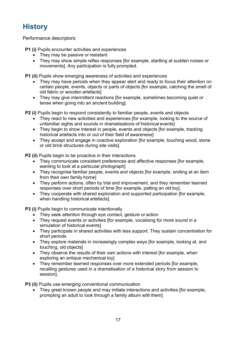## <span id="page-16-0"></span>**History**

Performance descriptors:

**P1 (i)** Pupils encounter activities and experiences

- They may be passive or resistant
- They may show simple reflex responses [for example, startling at sudden noises or movements]. Any participation is fully prompted.

**P1 (ii)** Pupils show emerging awareness of activities and experiences

- They may have periods when they appear alert and ready to focus their attention on certain people, events, objects or parts of objects [for example, catching the smell of old fabric or wooden artefacts]
- They may give intermittent reactions [for example, sometimes becoming quiet or tense when going into an ancient building].

**P2 (i)** Pupils begin to respond consistently to familiar people, events and objects

- They react to new activities and experiences [for example, looking to the source of unfamiliar sights and sounds in dramatisations of historical events]
- They begin to show interest in people, events and objects [for example, tracking] historical artefacts into or out of their field of awareness]
- They accept and engage in coactive exploration [for example, touching wood, stone or old brick structures during site visits].

**P2 (ii)** Pupils begin to be proactive in their interactions

- They communicate consistent preferences and affective responses [for example, wanting to look at a particular photograph]
- They recognise familiar people, events and objects [for example, smiling at an item from their own family home]
- They perform actions, often by trial and improvement, and they remember learned responses over short periods of time [for example, patting an old toy].
- They cooperate with shared exploration and supported participation [for example, when handling historical artefacts].

**P3 (i)** Pupils begin to communicate intentionally

- They seek attention through eye contact, gesture or action
- They request events or activities [for example, vocalising for more sound in a simulation of historical events]
- They participate in shared activities with less support. They sustain concentration for short periods
- They explore materials in increasingly complex ways [for example, looking at, and touching, old objects]
- They observe the results of their own actions with interest [for example, when exploring an antique mechanical toy]
- They remember learned responses over more extended periods [for example, recalling gestures used in a dramatisation of a historical story from session to session].

**P3 (ii)** Pupils use emerging conventional communication

• They greet known people and may initiate interactions and activities [for example, prompting an adult to look through a family album with them]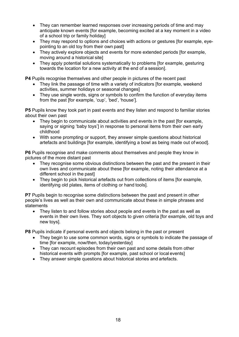- They can remember learned responses over increasing periods of time and may anticipate known events [for example, becoming excited at a key moment in a video of a school trip or family holiday]
- They may respond to options and choices with actions or gestures [for example, eyepointing to an old toy from their own past]
- They actively explore objects and events for more extended periods [for example, moving around a historical site]
- They apply potential solutions systematically to problems [for example, gesturing] towards the location for a new activity at the end of a session].

**P4** Pupils recognise themselves and other people in pictures of the recent past

- They link the passage of time with a variety of indicators [for example, weekend activities, summer holidays or seasonal changes]
- They use single words, signs or symbols to confirm the function of everyday items from the past [for example, 'cup', 'bed', 'house'].

**P5** Pupils know they took part in past events and they listen and respond to familiar stories about their own past

- They begin to communicate about activities and events in the past [for example, saying or signing 'baby toys'] in response to personal items from their own early childhood
- With some prompting or support, they answer simple questions about historical artefacts and buildings [for example, identifying a bowl as being made out of wood].

**P6** Pupils recognise and make comments about themselves and people they know in pictures of the more distant past

- They recognise some obvious distinctions between the past and the present in their own lives and communicate about these [for example, noting their attendance at a different school in the past]
- They begin to pick historical artefacts out from collections of items [for example, identifying old plates, items of clothing or hand tools].

**P7** Pupils begin to recognise some distinctions between the past and present in other people's lives as well as their own and communicate about these in simple phrases and statements

• They listen to and follow stories about people and events in the past as well as events in their own lives. They sort objects to given criteria [for example, old toys and new toys].

**P8** Pupils indicate if personal events and objects belong in the past or present

- They begin to use some common words, signs or symbols to indicate the passage of time [for example, now/then, today/yesterday]
- They can recount episodes from their own past and some details from other historical events with prompts [for example, past school or local events]
- They answer simple questions about historical stories and artefacts.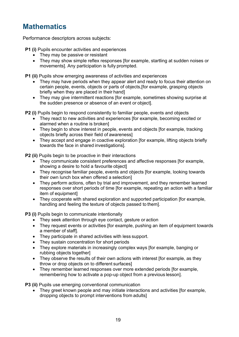### <span id="page-18-0"></span>**Mathematics**

Performance descriptors across subjects:

**P1 (i)** Pupils encounter activities and experiences

- They may be passive or resistant
- They may show simple reflex responses [for example, startling at sudden noises or movements]. Any participation is fully prompted.

**P1 (ii)** Pupils show emerging awareness of activities and experiences

- They may have periods when they appear alert and ready to focus their attention on certain people, events, objects or parts of objects,[for example, grasping objects briefly when they are placed in their hand]
- They may give intermittent reactions [for example, sometimes showing surprise at the sudden presence or absence of an event or object].

**P2 (i)** Pupils begin to respond consistently to familiar people, events and objects

- They react to new activities and experiences [for example, becoming excited or alarmed when a routine is broken]
- They begin to show interest in people, events and objects [for example, tracking] objects briefly across their field of awareness]
- They accept and engage in coactive exploration [for example, lifting objects briefly towards the face in shared investigations].

**P2 (ii)** Pupils begin to be proactive in their interactions

- They communicate consistent preferences and affective responses [for example, showing a desire to hold a favourite object]
- They recognise familiar people, events and objects [for example, looking towards their own lunch box when offered a selection]
- They perform actions, often by trial and improvement, and they remember learned responses over short periods of time [for example, repeating an action with a familiar item of equipment]
- They cooperate with shared exploration and supported participation [for example, handling and feeling the texture of objects passed to them].

**P3 (i)** Pupils begin to communicate intentionally

- They seek attention through eye contact, gesture or action
- They request events or activities [for example, pushing an item of equipment towards a member of staff].
- They participate in shared activities with less support.
- They sustain concentration for short periods
- They explore materials in increasingly complex ways [for example, banging or rubbing objects together]
- They observe the results of their own actions with interest [for example, as they throw or drop objects on to different surfaces]
- They remember learned responses over more extended periods [for example, remembering how to activate a pop-up object from a previous lesson].

**P3 (ii)** Pupils use emerging conventional communication

• They greet known people and may initiate interactions and activities [for example, dropping objects to prompt interventions from adults]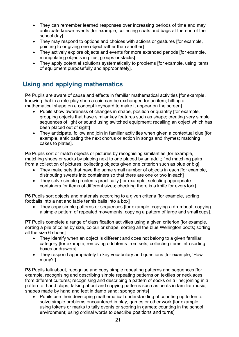- They can remember learned responses over increasing periods of time and may anticipate known events [for example, collecting coats and bags at the end of the school day]
- They may respond to options and choices with actions or gestures [for example, pointing to or giving one object rather than another]
- They actively explore objects and events for more extended periods [for example, manipulating objects in piles, groups or stacks]
- They apply potential solutions systematically to problems [for example, using items of equipment purposefully and appropriately].

#### <span id="page-19-0"></span>**Using and applying mathematics**

**P4** Pupils are aware of cause and effects in familiar mathematical activities [for example, knowing that in a role-play shop a coin can be exchanged for an item; hitting a mathematical shape on a concept keyboard to make it appear on the screen]

- Pupils show awareness of changes in shape, position or quantity [for example, grouping objects that have similar key features such as shape; creating very simple sequences of light or sound using switched equipment; recalling an object which has been placed out of sight]
- They anticipate, follow and join in familiar activities when given a contextual clue [for example, anticipating the next chorus or action in songs and rhymes; matching cakes to plates].

**P5** Pupils sort or match objects or pictures by recognising similarities [for example, matching shoes or socks by placing next to one placed by an adult; find matching pairs from a collection of pictures; collecting objects given one criterion such as blue or big]

- They make sets that have the same small number of objects in each [for example, distributing sweets into containers so that there are one or two in each]
- They solve simple problems practically ffor example, selecting appropriate containers for items of different sizes; checking there is a knife for every fork].

**P6** Pupils sort objects and materials according to a given criteria [for example, sorting footballs into a net and table tennis balls into a box]

• They copy simple patterns or sequences [for example, copying a drumbeat; copying a simple pattern of repeated movements; copying a pattern of large and small cups].

**P7** Pupils complete a range of classification activities using a given criterion [for example, sorting a pile of coins by size, colour or shape; sorting all the blue Wellington boots; sorting all the size 6 shoes]

- They identify when an object is different and does not belong to a given familiar category [for example, removing odd items from sets; collecting items into sorting boxes or drawers]
- They respond appropriately to key vocabulary and questions [for example, 'How many?'].

**P8** Pupils talk about, recognise and copy simple repeating patterns and sequences [for example, recognising and describing simple repeating patterns on textiles or necklaces from different cultures; recognising and describing a pattern of socks on a line; joining in a pattern of hand claps; talking about and copying patterns such as beats in familiar music; shapes made by hand and feet in damp sand; sponge prints]

• Pupils use their developing mathematical understanding of counting up to ten to solve simple problems encountered in play, games or other work [for example, using tokens or marks to tally events or scoring in games; counting in the school environment; using ordinal words to describe positions and turns]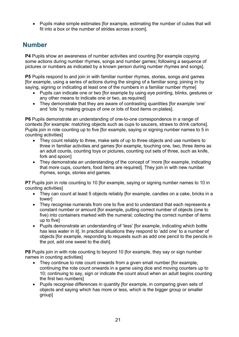• Pupils make simple estimates [for example, estimating the number of cubes that will fit into a box or the number of strides across a room].

#### <span id="page-20-0"></span>**Number**

**P4** Pupils show an awareness of number activities and counting [for example copying] some actions during number rhymes, songs and number games; following a sequence of pictures or numbers as indicated by a known person during number rhymes and songs].

**P5** Pupils respond to and join in with familiar number rhymes, stories, songs and games [for example, using a series of actions during the singing of a familiar song; joining in by saying, signing or indicating at least one of the numbers in a familiar number rhyme]

- Pupils can indicate one or two [for example by using eye pointing, blinks, gestures or any other means to indicate one or two, as required]
- They demonstrate that they are aware of contrasting quantities [for example 'one' and 'lots' by making groups of one or lots of food items on plates].

**P6** Pupils demonstrate an understanding of one-to-one correspondence in a range of contexts [for example: matching objects such as cups to saucers, straws to drink cartons]. Pupils join in rote counting up to five [for example, saying or signing number names to 5 in counting activities]

- They count reliably to three, make sets of up to three objects and use numbers to three in familiar activities and games [for example, touching one, two, three items as an adult counts, counting toys or pictures, counting out sets of three, such as knife, fork and spoon]
- They demonstrate an understanding of the concept of 'more [for example, indicating that more cups, counters, food items are required]. They join in with new number rhymes, songs, stories and games.

**P7** Pupils join in rote counting to 10 [for example, saying or signing number names to 10 in counting activities]

- They can count at least 5 objects reliably [for example, candles on a cake, bricks in a tower]
- They recognise numerals from one to five and to understand that each represents a constant number or amount [for example, putting correct number of objects (one to five) into containers marked with the numeral; collecting the correct number of items up to five]
- Pupils demonstrate an understanding of 'less' [for example, indicating which bottle has less water in itl. In practical situations they respond to 'add one' to a number of objects [for example, responding to requests such as add one pencil to the pencils in the pot, add one sweet to the dish].

**P8** Pupils join in with rote counting to beyond 10 [for example, they say or sign number names in counting activities]

- They continue to rote count onwards from a given small number [for example, continuing the rote count onwards in a game using dice and moving counters up to 10; continuing to say, sign or indicate the count aloud when an adult begins counting the first two numbers]
- Pupils recognise differences in quantity [for example, in comparing given sets of objects and saying which has more or less, which is the bigger group or smaller group]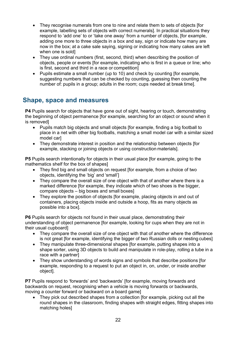- They recognise numerals from one to nine and relate them to sets of objects [for example, labelling sets of objects with correct numerals]. In practical situations they respond to 'add one' to or 'take one away' from a number of objects, [for example, adding one more to three objects in a box and say, sign or indicate how many are now in the box; at a cake sale saying, signing or indicating how many cakes are left when one is sold]
- They use ordinal numbers (first, second, third) when describing the position of objects, people or events [for example, indicating who is first in a queue or line; who is first, second and third in a race or competition]
- Pupils estimate a small number (up to 10) and check by counting [for example, suggesting numbers that can be checked by counting, guessing then counting the number of: pupils in a group; adults in the room; cups needed at break time].

#### <span id="page-21-0"></span>**Shape, space and measures**

**P4** Pupils search for objects that have gone out of sight, hearing or touch, demonstrating the beginning of object permanence [for example, searching for an object or sound when it is removed]

- Pupils match big objects and small objects [for example, finding a big football to place in a net with other big footballs, matching a small model car with a similar sized model car]
- They demonstrate interest in position and the relationship between objects [for example, stacking or joining objects or using construction materials].

**P5** Pupils search intentionally for objects in their usual place [for example, going to the mathematics shelf for the box of shapes]

- They find big and small objects on request [for example, from a choice of two objects, identifying the 'big' and 'small']
- They compare the overall size of one object with that of another where there is a marked difference [for example, they indicate which of two shoes is the bigger, compare objects – big boxes and small boxes]
- They explore the position of objects [for example, placing objects in and out of containers, placing objects inside and outside a hoop, fits as many objects as possible into a box].

**P6** Pupils search for objects not found in their usual place, demonstrating their understanding of object permanence [for example, looking for cups when they are not in their usual cupboard]

- They compare the overall size of one object with that of another where the difference is not great [for example, identifying the bigger of two Russian dolls or nesting cubes]
- They manipulate three-dimensional shapes [for example, putting shapes into a shape sorter, using 3D objects to build and manipulate in role-play, rolling a tube in a race with a partner]
- They show understanding of words signs and symbols that describe positions [for example, responding to a request to put an object in, on, under, or inside another object].

**P7** Pupils respond to 'forwards' and 'backwards' [for example, moving forwards and backwards on request, recognising when a vehicle is moving forwards or backwards, moving a counter forward or backward on a board game]

• They pick out described shapes from a collection [for example, picking out all the round shapes in the classroom, finding shapes with straight edges, fitting shapes into matching holes]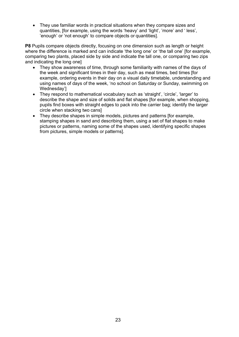• They use familiar words in practical situations when they compare sizes and quantities, [for example, using the words 'heavy' and 'light', 'more' and ' less', 'enough' or 'not enough' to compare objects or quantities].

**P8** Pupils compare objects directly, focusing on one dimension such as length or height where the difference is marked and can indicate 'the long one' or 'the tall one' [for example, comparing two plants, placed side by side and indicate the tall one, or comparing two zips and indicating the long one]

- They show awareness of time, through some familiarity with names of the days of the week and significant times in their day, such as meal times, bed times [for example, ordering events in their day on a visual daily timetable, understanding and using names of days of the week, 'no school on Saturday or Sunday, swimming on Wednesday']
- They respond to mathematical vocabulary such as 'straight', 'circle', 'larger' to describe the shape and size of solids and flat shapes [for example, when shopping, pupils find boxes with straight edges to pack into the carrier bag; identify the larger circle when stacking two cans]
- They describe shapes in simple models, pictures and patterns [for example, stamping shapes in sand and describing them, using a set of flat shapes to make pictures or patterns, naming some of the shapes used, identifying specific shapes from pictures, simple models or patterns].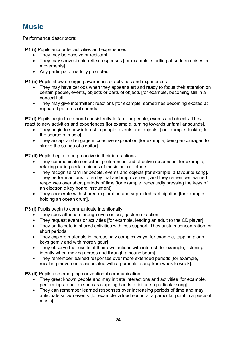#### <span id="page-23-0"></span>**Music**

Performance descriptors:

**P1 (i)** Pupils encounter activities and experiences

- They may be passive or resistant
- They may show simple reflex responses [for example, startling at sudden noises or movements]
- Any participation is fully prompted.

**P1 (ii)** Pupils show emerging awareness of activities and experiences

- They may have periods when they appear alert and ready to focus their attention on certain people, events, objects or parts of objects [for example, becoming still in a concert hall]
- They may give intermittent reactions [for example, sometimes becoming excited at repeated patterns of sounds].

**P2 (i)** Pupils begin to respond consistently to familiar people, events and objects. They react to new activities and experiences [for example, turning towards unfamiliar sounds].

- They begin to show interest in people, events and objects, [for example, looking for the source of music]
- They accept and engage in coactive exploration [for example, being encouraged to stroke the strings of a guitar].

**P2 (ii)** Pupils begin to be proactive in their interactions

- They communicate consistent preferences and affective responses [for example, relaxing during certain pieces of music but not others]
- They recognise familiar people, events and objects [for example, a favourite song]. They perform actions, often by trial and improvement, and they remember learned responses over short periods of time [for example, repeatedly pressing the keys of an electronic key board instrument]
- They cooperate with shared exploration and supported participation [for example, holding an ocean drum].

**P3 (i)** Pupils begin to communicate intentionally

- They seek attention through eye contact, gesture or action.
- They request events or activities [for example, leading an adult to the CD player]
- They participate in shared activities with less support. They sustain concentration for short periods
- They explore materials in increasingly complex ways [for example, tapping piano keys gently and with more vigour]
- They observe the results of their own actions with interest [for example, listening] intently when moving across and through a sound beam]
- They remember learned responses over more extended periods [for example, recalling movements associated with a particular song from week to week].

**P3 (ii)** Pupils use emerging conventional communication

- They greet known people and may initiate interactions and activities [for example, performing an action such as clapping hands to initiate a particular song]
- They can remember learned responses over increasing periods of time and may anticipate known events [for example, a loud sound at a particular point in a piece of music]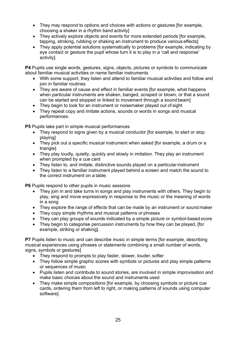- They may respond to options and choices with actions or gestures [for example, choosing a shaker in a rhythm band activity]
- They actively explore objects and events for more extended periods [for example, tapping, stroking, rubbing or shaking an instrument to produce various effects]
- They apply potential solutions systematically to problems [for example, indicating by eye contact or gesture the pupil whose turn it is to play in a 'call and response' activity].

**P4** Pupils use single words, gestures, signs, objects, pictures or symbols to communicate about familiar musical activities or name familiar instruments

- With some support, they listen and attend to familiar musical activities and follow and join in familiar routines
- They are aware of cause and effect in familiar events [for example, what happens when particular instruments are shaken, banged, scraped or blown, or that a sound can be started and stopped or linked to movement through a sound beam]
- They begin to look for an instrument or noisemaker played out of sight
- They repeat copy and imitate actions, sounds or words in songs and musical performances.

**P5** Pupils take part in simple musical performances

- They respond to signs given by a musical conductor [for example, to start or stop playing]
- They pick out a specific musical instrument when asked [for example, a drum or a triangle]
- They play loudly, quietly, quickly and slowly in imitation. They play an instrument when prompted by a cue card
- They listen to, and imitate, distinctive sounds played on a particular instrument
- They listen to a familiar instrument played behind a screen and match the sound to the correct instrument on a table.

**P6** Pupils respond to other pupils in music sessions

- They join in and take turns in songs and play instruments with others. They begin to play, sing and move expressively in response to the music or the meaning of words in a song
- They explore the range of effects that can be made by an instrument or sound maker
- They copy simple rhythms and musical patterns or phrases
- They can play groups of sounds indicated by a simple picture or symbol-based score
- They begin to categorise percussion instruments by how they can be played, [for example, striking or shaking].

**P7** Pupils listen to music and can describe music in simple terms [for example, describing] musical experiences using phrases or statements combining a small number of words, signs, symbols or gestures]

- They respond to prompts to play faster, slower, louder, softer
- They follow simple graphic scores with symbols or pictures and play simple patterns or sequences of music
- Pupils listen and contribute to sound stories, are involved in simple improvisation and make basic choices about the sound and instruments used
- They make simple compositions [for example, by choosing symbols or picture cue cards, ordering them from left to right, or making patterns of sounds using computer software].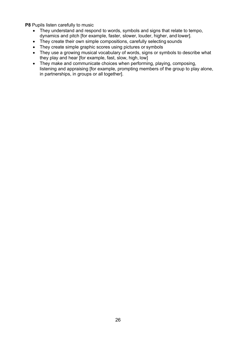**P8** Pupils listen carefully to music

- They understand and respond to words, symbols and signs that relate to tempo, dynamics and pitch [for example, faster, slower, louder, higher, and lower].
- They create their own simple compositions, carefully selecting sounds
- They create simple graphic scores using pictures or symbols
- They use a growing musical vocabulary of words, signs or symbols to describe what they play and hear [for example, fast, slow, high, low]
- They make and communicate choices when performing, playing, composing, listening and appraising [for example, prompting members of the group to play alone, in partnerships, in groups or all together].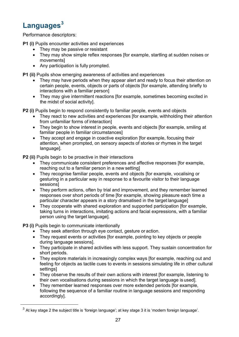## <span id="page-26-0"></span>**Languages[3](#page-2-3)**

Performance descriptors:

**P1 (i)** Pupils encounter activities and experiences

- They may be passive or resistant
- They may show simple reflex responses [for example, startling at sudden noises or movements]
- Any participation is fully prompted.

**P1 (ii)** Pupils show emerging awareness of activities and experiences

- They may have periods when they appear alert and ready to focus their attention on certain people, events, objects or parts of objects [for example, attending briefly to interactions with a familiar person]
- They may give intermittent reactions [for example, sometimes becoming excited in the midst of social activity].

**P2 (i)** Pupils begin to respond consistently to familiar people, events and objects

- They react to new activities and experiences [for example, withholding their attention from unfamiliar forms of interaction]
- They begin to show interest in people, events and objects [for example, smiling at familiar people in familiar circumstances]
- They accept and engage in coactive exploration [for example, focusing their attention, when prompted, on sensory aspects of stories or rhymes in the target language].

**P2 (ii)** Pupils begin to be proactive in their interactions

- They communicate consistent preferences and affective responses [for example, reaching out to a familiar person in a new setting]
- They recognise familiar people, events and objects [for example, vocalising or gesturing in a particular way in response to a favourite visitor to their language sessions]
- They perform actions, often by trial and improvement, and they remember learned responses over short periods of time [for example, showing pleasure each time a particular character appears in a story dramatised in the target language]
- They cooperate with shared exploration and supported participation [for example, taking turns in interactions, imitating actions and facial expressions, with a familiar person using the target language].

**P3 (i)** Pupils begin to communicate intentionally

- They seek attention through eye contact, gesture or action.
- They request events or activities [for example, pointing to key objects or people during language sessions].
- They participate in shared activities with less support. They sustain concentration for short periods.
- They explore materials in increasingly complex ways [for example, reaching out and feeling for objects as tactile cues to events in sessions simulating life in other cultural settings]
- They observe the results of their own actions with interest [for example, listening to their own vocalisations during sessions in which the target language is used].
- They remember learned responses over more extended periods [for example, following the sequence of a familiar routine in language sessions and responding accordingly].

 $3$  At key stage 2 the subject title is 'foreign language'; at key stage 3 it is 'modern foreign language'.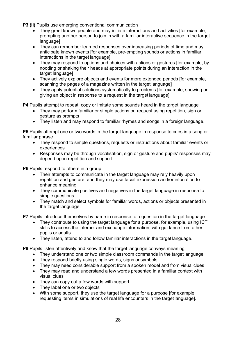**P3 (ii)** Pupils use emerging conventional communication

- They greet known people and may initiate interactions and activities [for example, prompting another person to join in with a familiar interactive sequence in the target language]
- They can remember learned responses over increasing periods of time and may anticipate known events [for example, pre-empting sounds or actions in familiar interactions in the target language]
- They may respond to options and choices with actions or gestures [for example, by nodding or shaking their heads at appropriate points during an interaction in the target language]
- They actively explore objects and events for more extended periods [for example, scanning the pages of a magazine written in the target language]
- They apply potential solutions systematically to problems [for example, showing or giving an object in response to a request in the target language].

**P4** Pupils attempt to repeat, copy or imitate some sounds heard in the target language

- They may perform familiar or simple actions on request using repetition, sign or gesture as prompts
- They listen and may respond to familiar rhymes and songs in a foreign language.

**P5** Pupils attempt one or two words in the target language in response to cues in a song or familiar phrase

- They respond to simple questions, requests or instructions about familiar events or experiences
- Responses may be through vocalisation, sign or gesture and pupils' responses may depend upon repetition and support.

**P6** Pupils respond to others in a group

- Their attempts to communicate in the target language may rely heavily upon repetition and gesture, and they may use facial expression and/or intonation to enhance meaning
- They communicate positives and negatives in the target language in response to simple questions
- They match and select symbols for familiar words, actions or objects presented in the target language.

**P7** Pupils introduce themselves by name in response to a question in the target language

- They contribute to using the target language for a purpose, for example, using ICT skills to access the internet and exchange information, with guidance from other pupils or adults
- They listen, attend to and follow familiar interactions in the target language.

**P8** Pupils listen attentively and know that the target language conveys meaning

- They understand one or two simple classroom commands in the target language
- They respond briefly using single words, signs or symbols
- They may need considerable support from a spoken model and from visual clues
- They may read and understand a few words presented in a familiar context with visual clues
- They can copy out a few words with support
- They label one or two objects
- With some support, they use the target language for a purpose [for example, requesting items in simulations of real life encounters in the target language].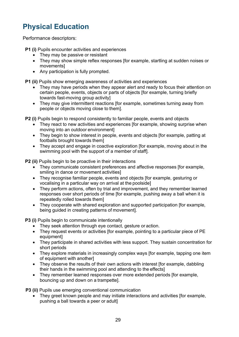# <span id="page-28-0"></span>**Physical Education**

Performance descriptors:

**P1 (i)** Pupils encounter activities and experiences

- They may be passive or resistant
- They may show simple reflex responses [for example, startling at sudden noises or movements]
- Any participation is fully prompted.

**P1 (ii)** Pupils show emerging awareness of activities and experiences

- They may have periods when they appear alert and ready to focus their attention on certain people, events, objects or parts of objects [for example, turning briefly towards fast-moving group activity]
- They may give intermittent reactions [for example, sometimes turning away from people or objects moving close to them].

**P2 (i)** Pupils begin to respond consistently to familiar people, events and objects

- They react to new activities and experiences [for example, showing surprise when moving into an outdoor environment]
- They begin to show interest in people, events and objects [for example, patting at footballs brought towards them]
- They accept and engage in coactive exploration [for example, moving about in the swimming pool with the support of a member of staff].

**P2 (ii)** Pupils begin to be proactive in their interactions

- They communicate consistent preferences and affective responses [for example, smiling in dance or movement activities]
- They recognise familiar people, events and objects [for example, gesturing or vocalising in a particular way on arrival at the poolside]
- They perform actions, often by trial and improvement, and they remember learned responses over short periods of time [for example, pushing away a ball when it is repeatedly rolled towards them]
- They cooperate with shared exploration and supported participation [for example, being guided in creating patterns of movement].

**P3 (i)** Pupils begin to communicate intentionally

- They seek attention through eye contact, gesture or action.
- They request events or activities [for example, pointing to a particular piece of PE equipment]
- They participate in shared activities with less support. They sustain concentration for short periods
- They explore materials in increasingly complex ways [for example, tapping one item of equipment with another]
- They observe the results of their own actions with interest [for example, dabbling] their hands in the swimming pool and attending to the effects]
- They remember learned responses over more extended periods [for example, bouncing up and down on a trampette].

**P3 (ii)** Pupils use emerging conventional communication

• They greet known people and may initiate interactions and activities [for example, pushing a ball towards a peer or adult]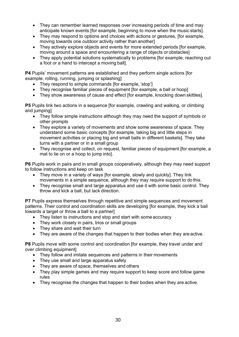- They can remember learned responses over increasing periods of time and may anticipate known events [for example, beginning to move when the music starts].
- They may respond to options and choices with actions or gestures, [for example, moving towards one outdoor activity rather than another]
- They actively explore objects and events for more extended periods [for example, moving around a space and encountering a range of objects or obstacles]
- They apply potential solutions systematically to problems [for example, reaching out a foot or a hand to intercept a moving ball].

**P4** Pupils' movement patterns are established and they perform single actions [for example, rolling, running, jumping or splashing]

- They respond to simple commands [for example, 'stop']
- They recognise familiar pieces of equipment [for example, a ball or hoop]
- They show awareness of cause and effect [for example, knocking down skittles].

**P5** Pupils link two actions in a sequence [for example, crawling and walking, or climbing and jumping]

- They follow simple instructions although they may need the support of symbols or other prompts
- They explore a variety of movements and show some awareness of space. They understand some basic concepts [for example, taking big and little steps in movement activities or placing big and small balls in different baskets]. They take turns with a partner or in a small group
- They recognise and collect, on request, familiar pieces of equipment [for example, a mat to lie on or a hoop to jump into].

**P6** Pupils work in pairs and in small groups cooperatively, although they may need support to follow instructions and keep on task

- They move in a variety of ways [for example, slowly and quickly]. They link movements in a simple sequence, although they may require support to do this.
- They recognise small and large apparatus and use it with some basic control. They throw and kick a ball, but lack direction.

**P7** Pupils express themselves through repetitive and simple sequences and movement patterns. Their control and coordination skills are developing [for example, they kick a ball towards a target or throw a ball to a partner]

- They listen to instructions and stop and start with some accuracy
- They work closely in pairs, trios or small groups
- They share and wait their turn
- They are aware of the changes that happen to their bodies when they are active.

**P8** Pupils move with some control and coordination [for example, they travel under and over climbing equipment]

- They follow and imitate sequences and patterns in their movements
- They use small and large apparatus safely
- They are aware of space, themselves and others
- They play simple games and may require support to keep score and follow game rules
- They recognise the changes that happen to their bodies when they are active.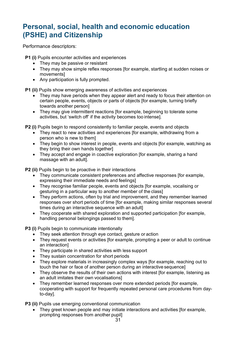#### <span id="page-30-0"></span>**Personal, social, health and economic education (PSHE) and Citizenship**

Performance descriptors:

**P1 (i)** Pupils encounter activities and experiences

- They may be passive or resistant
- They may show simple reflex responses ffor example, startling at sudden noises or movements]
- Any participation is fully prompted.

**P1 (ii)** Pupils show emerging awareness of activities and experiences

- They may have periods when they appear alert and ready to focus their attention on certain people, events, objects or parts of objects [for example, turning briefly towards another person]
- They may give intermittent reactions [for example, beginning to tolerate some activities, but 'switch off' if the activity becomes too intense].

**P2 (i)** Pupils begin to respond consistently to familiar people, events and objects

- They react to new activities and experiences [for example, withdrawing from a person who is new to them]
- They begin to show interest in people, events and objects [for example, watching as they bring their own hands together]
- They accept and engage in coactive exploration [for example, sharing a hand massage with an adult].

**P2 (ii)** Pupils begin to be proactive in their interactions

- They communicate consistent preferences and affective responses [for example, expressing their immediate needs and feelings]
- They recognise familiar people, events and objects [for example, vocalising or gesturing in a particular way to another member of the class]
- They perform actions, often by trial and improvement, and they remember learned responses over short periods of time [for example, making similar responses several times during an interactive sequence with an adult]
- They cooperate with shared exploration and supported participation [for example, handling personal belongings passed to them].

**P3 (i)** Pupils begin to communicate intentionally

- They seek attention through eye contact, gesture or action
- They request events or activities [for example, prompting a peer or adult to continue an interaction]
- They participate in shared activities with less support
- They sustain concentration for short periods
- They explore materials in increasingly complex ways [for example, reaching out to touch the hair or face of another person during an interactive sequence]
- They observe the results of their own actions with interest [for example, listening as an adult imitates their own vocalisations]
- They remember learned responses over more extended periods [for example, cooperating with support for frequently repeated personal care procedures from dayto-day].

**P3 (ii)** Pupils use emerging conventional communication

• They greet known people and may initiate interactions and activities [for example, prompting responses from another pupil]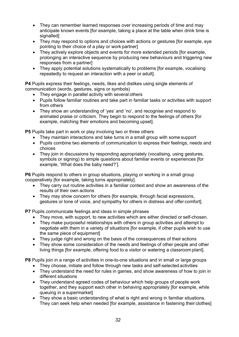- They can remember learned responses over increasing periods of time and may anticipate known events [for example, taking a place at the table when drink time is signalled]
- They may respond to options and choices with actions or gestures [for example, eye pointing to their choice of a play or work partner]
- They actively explore objects and events for more extended periods [for example, prolonging an interactive sequence by producing new behaviours and triggering new responses from a partner]
- They apply potential solutions systematically to problems [for example, vocalising repeatedly to request an interaction with a peer or adult].

**P4** Pupils express their feelings, needs, likes and dislikes using single elements of communication (words, gestures, signs or symbols)

- They engage in parallel activity with several others
- Pupils follow familiar routines and take part in familiar tasks or activities with support from others
- They show an understanding of 'yes' and 'no', and recognise and respond to animated praise or criticism. They begin to respond to the feelings of others [for example, matching their emotions and becoming upset].

**P5** Pupils take part in work or play involving two or three others

- They maintain interactions and take turns in a small group with some support
- Pupils combine two elements of communication to express their feelings, needs and choices
- They join in discussions by responding appropriately (vocalising, using gestures, symbols or signing) to simple questions about familiar events or experiences [for example, 'What does the baby need?'].

**P6** Pupils respond to others in group situations, playing or working in a small group cooperatively [for example, taking turns appropriately].

- They carry out routine activities in a familiar context and show an awareness of the results of their own actions
- They may show concern for others [for example, through facial expressions, gestures or tone of voice, and sympathy for others in distress and offer comfort].

**P7** Pupils communicate feelings and ideas in simple phrases

- They move, with support, to new activities which are either directed or self-chosen.
- They make purposeful relationships with others in group activities and attempt to negotiate with them in a variety of situations [for example, if other pupils wish to use the same piece of equipment]
- They judge right and wrong on the basis of the consequences of their actions
- They show some consideration of the needs and feelings of other people and other living things [for example, offering food to a visitor or watering a classroom plant].

**P8** Pupils join in a range of activities in one-to-one situations and in small or large groups

- They choose, initiate and follow through new tasks and self-selected activities
- They understand the need for rules in games, and show awareness of how to join in different situations
- They understand agreed codes of behaviour which help groups of people work together, and they support each other in behaving appropriately [for example, while queuing in a supermarket]
- They show a basic understanding of what is right and wrong in familiar situations. They can seek help when needed [for example, assistance in fastening their clothes]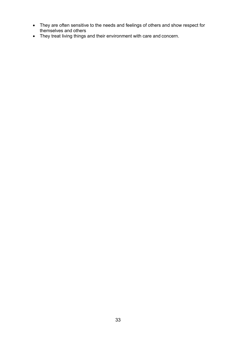- They are often sensitive to the needs and feelings of others and show respect for themselves and others
- They treat living things and their environment with care and concern.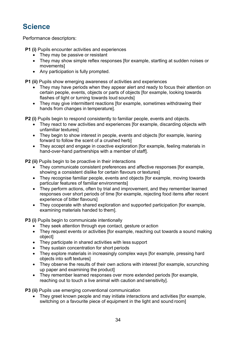## <span id="page-33-0"></span>**Science**

Performance descriptors:

**P1 (i)** Pupils encounter activities and experiences

- They may be passive or resistant
- They may show simple reflex responses [for example, startling at sudden noises or movements]
- Any participation is fully prompted.

**P1 (ii)** Pupils show emerging awareness of activities and experiences

- They may have periods when they appear alert and ready to focus their attention on certain people, events, objects or parts of objects [for example, looking towards flashes of light or turning towards loud sounds]
- They may give intermittent reactions [for example, sometimes withdrawing their hands from changes in temperature].

**P2 (i)** Pupils begin to respond consistently to familiar people, events and objects.

- They react to new activities and experiences [for example, discarding objects with unfamiliar textures]
- They begin to show interest in people, events and objects [for example, leaning forward to follow the scent of a crushed herb]
- They accept and engage in coactive exploration [for example, feeling materials in hand-over-hand partnerships with a member of staff].

**P2 (ii)** Pupils begin to be proactive in their interactions

- They communicate consistent preferences and affective responses [for example, showing a consistent dislike for certain flavours or textures]
- They recognise familiar people, events and objects [for example, moving towards particular features of familiar environments]
- They perform actions, often by trial and improvement, and they remember learned responses over short periods of time [for example, rejecting food items after recent experience of bitter flavours]
- They cooperate with shared exploration and supported participation [for example, examining materials handed to them].

**P3 (i)** Pupils begin to communicate intentionally

- They seek attention through eye contact, gesture or action
- They request events or activities [for example, reaching out towards a sound making object]
- They participate in shared activities with less support
- They sustain concentration for short periods
- They explore materials in increasingly complex ways [for example, pressing hard objects into soft textures]
- They observe the results of their own actions with interest [for example, scrunching] up paper and examining the product]
- They remember learned responses over more extended periods [for example, reaching out to touch a live animal with caution and sensitivity].

**P3 (ii)** Pupils use emerging conventional communication

They greet known people and may initiate interactions and activities [for example, switching on a favourite piece of equipment in the light and sound room]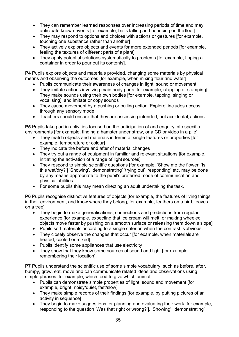- They can remember learned responses over increasing periods of time and may anticipate known events [for example, balls falling and bouncing on the floor]
- They may respond to options and choices with actions or gestures [for example, touching one substance rather than another]
- They actively explore objects and events for more extended periods [for example, feeling the textures of different parts of a plant]
- They apply potential solutions systematically to problems [for example, tipping a container in order to pour out its contents].

**P4** Pupils explore objects and materials provided, changing some materials by physical means and observing the outcomes [for example, when mixing flour and water]

- Pupils communicate their awareness of changes in light, sound or movement.
- They imitate actions involving main body parts ffor example, clapping or stamping. They make sounds using their own bodies [for example, tapping, singing or vocalising], and imitate or copy sounds
- They cause movement by a pushing or pulling action 'Explore' includes access through any sensory mode
- Teachers should ensure that they are assessing intended, not accidental, actions.

**P5** Pupils take part in activities focused on the anticipation of and enquiry into specific environments [for example, finding a hamster under straw, or a CD or video in a pile].

- They match objects and materials in terms of single features or properties [for example, temperature or colour]
- They indicate the before and after of material changes
- They try out a range of equipment in familiar and relevant situations [for example, initiating the activation of a range of light sources]
- They respond to simple scientific questions [for example, 'Show me the flower' 'Is this wet/dry?'] 'Showing', 'demonstrating' 'trying out' 'responding' etc. may be done by any means appropriate to the pupil's preferred mode of communication and physical abilities
- For some pupils this may mean directing an adult undertaking the task.

**P6** Pupils recognise distinctive features of objects [for example, the features of living things in their environment, and know where they belong, for example, feathers on a bird, leaves on a tree]

- They begin to make generalisations, connections and predictions from regular experience [for example, expecting that ice cream will melt, or making wheeled objects move faster by pushing on a smooth surface or releasing them down a slope]
- Pupils sort materials according to a single criterion when the contrast is obvious.
- They closely observe the changes that occur ffor example, when materials are heated, cooled or mixed]
- Pupils identify some appliances that use electricity
- They show that they know some sources of sound and light [for example, remembering their location].

**P7** Pupils understand the scientific use of some simple vocabulary, such as before, after, bumpy, grow, eat, move and can communicate related ideas and observations using simple phrases [for example, which food to give which animal]

- Pupils can demonstrate simple properties of light, sound and movement [for example, bright, noisy/quiet, fast/slowl
- They make simple records of their findings [for example, by putting pictures of an activity in sequence]
- They begin to make suggestions for planning and evaluating their work [for example, responding to the question 'Was that right or wrong?']. 'Showing', 'demonstrating'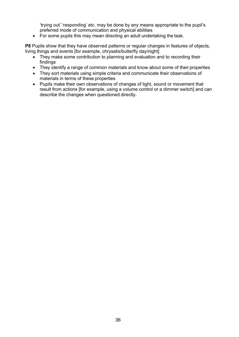'trying out' 'responding' etc. may be done by any means appropriate to the pupil's preferred mode of communication and physical abilities

• For some pupils this may mean directing an adult undertaking the task.

**P8** Pupils show that they have observed patterns or regular changes in features of objects, living things and events [for example, chrysalis/butterfly day/night]

- They make some contribution to planning and evaluation and to recording their findings
- They identify a range of common materials and know about some of their properties
- They sort materials using simple criteria and communicate their observations of materials in terms of these properties
- Pupils make their own observations of changes of light, sound or movement that result from actions [for example, using a volume control or a dimmer switch] and can describe the changes when questioned directly.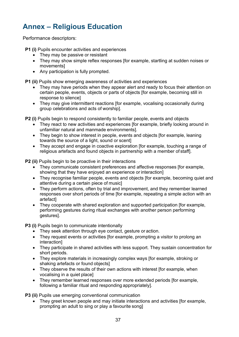# <span id="page-36-0"></span>**Annex – Religious Education**

Performance descriptors:

**P1 (i)** Pupils encounter activities and experiences

- They may be passive or resistant
- They may show simple reflex responses [for example, startling at sudden noises or movements]
- Any participation is fully prompted.

**P1 (ii)** Pupils show emerging awareness of activities and experiences

- They may have periods when they appear alert and ready to focus their attention on certain people, events, objects or parts of objects [for example, becoming still in response to silence]
- They may give intermittent reactions [for example, vocalising occasionally during group celebrations and acts of worship].

**P2 (i)** Pupils begin to respond consistently to familiar people, events and objects

- They react to new activities and experiences [for example, briefly looking around in unfamiliar natural and manmade environments].
- They begin to show interest in people, events and objects [for example, leaning towards the source of a light, sound or scent]
- They accept and engage in coactive exploration [for example, touching a range of religious artefacts and found objects in partnership with a member of staff].

**P2 (ii)** Pupils begin to be proactive in their interactions

- They communicate consistent preferences and affective responses [for example, showing that they have enjoyed an experience or interaction]
- They recognise familiar people, events and objects [for example, becoming quiet and attentive during a certain piece of music]
- They perform actions, often by trial and improvement, and they remember learned responses over short periods of time [for example, repeating a simple action with an artefact]
- They cooperate with shared exploration and supported participation [for example, performing gestures during ritual exchanges with another person performing gestures].

**P3 (i)** Pupils begin to communicate intentionally

- They seek attention through eye contact, gesture or action.
- They request events or activities [for example, prompting a visitor to prolong an interaction]
- They participate in shared activities with less support. They sustain concentration for short periods.
- They explore materials in increasingly complex ways [for example, stroking or shaking artefacts or found objects]
- They observe the results of their own actions with interest [for example, when vocalising in a quiet place]
- They remember learned responses over more extended periods [for example, following a familiar ritual and responding appropriately].

**P3 (ii)** Pupils use emerging conventional communication

• They greet known people and may initiate interactions and activities [for example, prompting an adult to sing or play a favourite song]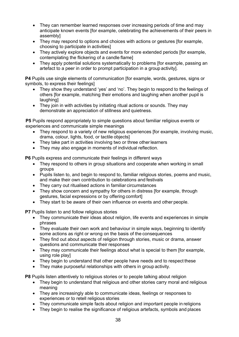- They can remember learned responses over increasing periods of time and may anticipate known events [for example, celebrating the achievements of their peers in assembly]
- They may respond to options and choices with actions or gestures [for example, choosing to participate in activities]
- They actively explore objects and events for more extended periods [for example, contemplating the flickering of a candle flame]
- They apply potential solutions systematically to problems [for example, passing an artefact to a peer in order to prompt participation in a group activity].

**P4** Pupils use single elements of communication [for example, words, gestures, signs or symbols, to express their feelings]

- They show they understand 'yes' and 'no'. They begin to respond to the feelings of others [for example, matching their emotions and laughing when another pupil is laughing]
- They join in with activities by initiating ritual actions or sounds. They may demonstrate an appreciation of stillness and quietness.

**P5** Pupils respond appropriately to simple questions about familiar religious events or experiences and communicate simple meanings

- They respond to a variety of new religious experiences [for example, involving music, drama, colour, lights, food, or tactile objects]
- They take part in activities involving two or three other learners
- They may also engage in moments of individual reflection.

**P6** Pupils express and communicate their feelings in different ways

- They respond to others in group situations and cooperate when working in small groups
- Pupils listen to, and begin to respond to, familiar religious stories, poems and music, and make their own contribution to celebrations and festivals
- They carry out ritualised actions in familiar circumstances
- They show concern and sympathy for others in distress [for example, through gestures, facial expressions or by offering comfort]
- They start to be aware of their own influence on events and other people.

**P7** Pupils listen to and follow religious stories

- They communicate their ideas about religion, life events and experiences in simple phrases
- They evaluate their own work and behaviour in simple ways, beginning to identify some actions as right or wrong on the basis of the consequences
- They find out about aspects of religion through stories, music or drama, answer questions and communicate their responses
- They may communicate their feelings about what is special to them [for example, using role play]
- They begin to understand that other people have needs and to respect these
- They make purposeful relationships with others in group activity.

**P8** Pupils listen attentively to religious stories or to people talking about religion

- They begin to understand that religious and other stories carry moral and religious meaning
- They are increasingly able to communicate ideas, feelings or responses to experiences or to retell religious stories
- They communicate simple facts about religion and important people in religions
- They begin to realise the significance of religious artefacts, symbols and places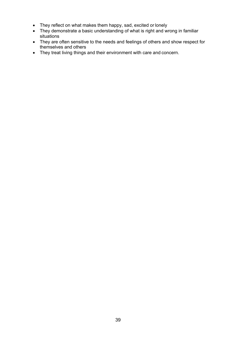- They reflect on what makes them happy, sad, excited or lonely
- They demonstrate a basic understanding of what is right and wrong in familiar situations
- They are often sensitive to the needs and feelings of others and show respect for themselves and others
- They treat living things and their environment with care and concern.